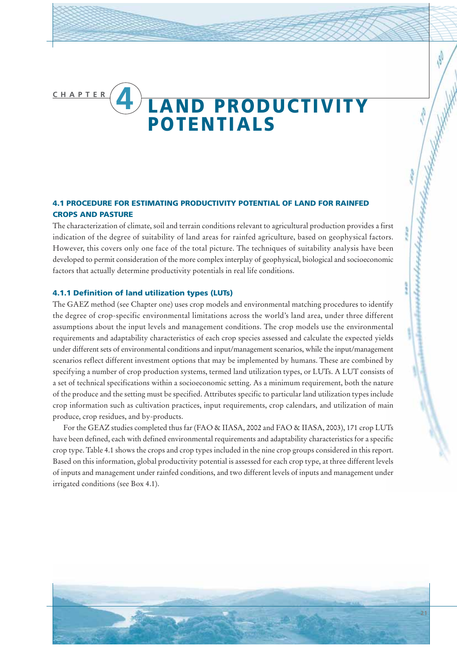# **CHAPTER 4 LAND PRODUCTIVITY POTENTIALS**

# **4.1 PROCEDURE FOR ESTIMATING PRODUCTIVITY POTENTIAL OF LAND FOR RAINFED CROPS AND PASTURE**

The characterization of climate, soil and terrain conditions relevant to agricultural production provides a first indication of the degree of suitability of land areas for rainfed agriculture, based on geophysical factors. However, this covers only one face of the total picture. The techniques of suitability analysis have been developed to permit consideration of the more complex interplay of geophysical, biological and socioeconomic factors that actually determine productivity potentials in real life conditions.

### **4.1.1 Definition of land utilization types (LUTs)**

The GAEZ method (see Chapter one) uses crop models and environmental matching procedures to identify the degree of crop-specific environmental limitations across the world's land area, under three different assumptions about the input levels and management conditions. The crop models use the environmental requirements and adaptability characteristics of each crop species assessed and calculate the expected yields under different sets of environmental conditions and input/management scenarios, while the input/management scenarios reflect different investment options that may be implemented by humans. These are combined by specifying a number of crop production systems, termed land utilization types, or LUTs. A LUT consists of a set of technical specifications within a socioeconomic setting. As a minimum requirement, both the nature of the produce and the setting must be specified. Attributes specific to particular land utilization types include crop information such as cultivation practices, input requirements, crop calendars, and utilization of main produce, crop residues, and by-products.

For the GEAZ studies completed thus far (FAO & IIASA, 2002 and FAO & IIASA, 2003), 171 crop LUTs have been defined, each with defined environmental requirements and adaptability characteristics for a specific crop type. Table 4.1 shows the crops and crop types included in the nine crop groups considered in this report. Based on this information, global productivity potential is assessed for each crop type, at three different levels of inputs and management under rainfed conditions, and two different levels of inputs and management under irrigated conditions (see Box 4.1).

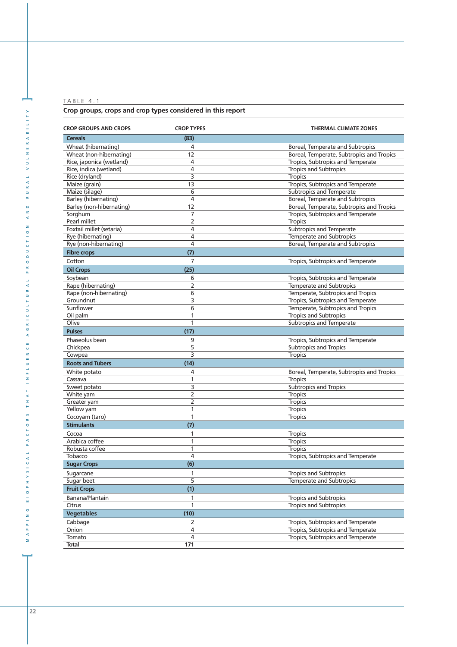## **Crop groups, crops and crop types considered in this report**

| <b>CROP GROUPS AND CROPS</b> | <b>CROP TYPES</b> | <b>THERMAL CLIMATE ZONES</b>              |
|------------------------------|-------------------|-------------------------------------------|
| <b>Cereals</b>               | (83)              |                                           |
| Wheat (hibernating)          | 4                 | Boreal, Temperate and Subtropics          |
| Wheat (non-hibernating)      | 12                | Boreal, Temperate, Subtropics and Tropics |
| Rice, japonica (wetland)     | 4                 | Tropics, Subtropics and Temperate         |
| Rice, indica (wetland)       | 4                 | <b>Tropics and Subtropics</b>             |
| Rice (dryland)               | 3                 | <b>Tropics</b>                            |
| Maize (grain)                | $\overline{13}$   | Tropics, Subtropics and Temperate         |
| Maize (silage)               | 6                 | Subtropics and Temperate                  |
| <b>Barley (hibernating)</b>  | 4                 | Boreal, Temperate and Subtropics          |
| Barley (non-hibernating)     | 12                | Boreal, Temperate, Subtropics and Tropics |
| Sorghum                      | 7                 | Tropics, Subtropics and Temperate         |
| Pearl millet                 | $\overline{2}$    | <b>Tropics</b>                            |
| Foxtail millet (setaria)     | 4                 | <b>Subtropics and Temperate</b>           |
| Rye (hibernating)            | 4                 | Temperate and Subtropics                  |
| Rye (non-hibernating)        | 4                 | Boreal, Temperate and Subtropics          |
| <b>Fibre crops</b>           | (7)               |                                           |
| Cotton                       | 7                 | Tropics, Subtropics and Temperate         |
| <b>Oil Crops</b>             | (25)              |                                           |
| Soybean                      | 6                 | Tropics, Subtropics and Temperate         |
| Rape (hibernating)           | $\overline{2}$    | <b>Temperate and Subtropics</b>           |
| Rape (non-hibernating)       | 6                 | Temperate, Subtropics and Tropics         |
| Groundnut                    | 3                 | Tropics, Subtropics and Temperate         |
| Sunflower                    | 6                 | Temperate, Subtropics and Tropics         |
| Oil palm                     | 1                 | <b>Tropics and Subtropics</b>             |
| Olive                        | 1                 | Subtropics and Temperate                  |
| <b>Pulses</b>                | (17)              |                                           |
| Phaseolus bean               | 9                 | Tropics, Subtropics and Temperate         |
| Chickpea                     | 5                 | <b>Subtropics and Tropics</b>             |
| Cowpea                       | 3                 | <b>Tropics</b>                            |
| <b>Roots and Tubers</b>      | (14)              |                                           |
| White potato                 | 4                 | Boreal, Temperate, Subtropics and Tropics |
| Cassava                      | 1                 | <b>Tropics</b>                            |
| Sweet potato                 | 3                 | <b>Subtropics and Tropics</b>             |
| White yam                    | 2                 | <b>Tropics</b>                            |
| Greater yam                  | 2                 | <b>Tropics</b>                            |
| Yellow yam                   | 1                 | <b>Tropics</b>                            |
| Cocoyam (taro)               | 1                 | <b>Tropics</b>                            |
| <b>Stimulants</b>            | (7)               |                                           |
| Cocoa                        | 1                 | <b>Tropics</b>                            |
| Arabica coffee               | 1                 | <b>Tropics</b>                            |
| Robusta coffee               | 1                 | <b>Tropics</b>                            |
| Tobacco                      | 4                 | Tropics, Subtropics and Temperate         |
| <b>Sugar Crops</b>           | (6)               |                                           |
| Sugarcane                    | 1                 | <b>Tropics and Subtropics</b>             |
| Sugar beet                   | 5                 | <b>Temperate and Subtropics</b>           |
| <b>Fruit Crops</b>           | (1)               |                                           |
| Banana/Plantain              | 1                 | <b>Tropics and Subtropics</b>             |
| Citrus                       | 1                 | <b>Tropics and Subtropics</b>             |
| <b>Vegetables</b>            | (10)              |                                           |
| Cabbage                      | 2                 | Tropics, Subtropics and Temperate         |
| Onion                        | 4                 | Tropics, Subtropics and Temperate         |
| Tomato                       | 4                 | Tropics, Subtropics and Temperate         |
| <b>Total</b>                 | 171               |                                           |

**]**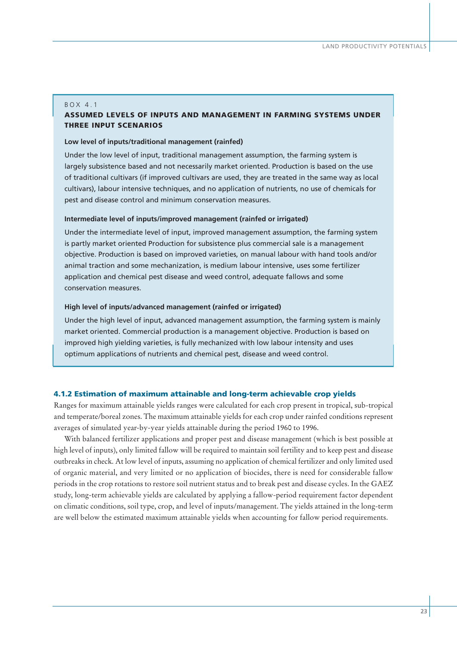#### BOX 4.1

# **ASSUMED LEVELS OF INPUTS AND MANAGEMENT IN FARMING SYSTEMS UNDER THREE INPUT SCENARIOS**

## **Low level of inputs/traditional management (rainfed)**

Under the low level of input, traditional management assumption, the farming system is largely subsistence based and not necessarily market oriented. Production is based on the use of traditional cultivars (if improved cultivars are used, they are treated in the same way as local cultivars), labour intensive techniques, and no application of nutrients, no use of chemicals for pest and disease control and minimum conservation measures.

#### **Intermediate level of inputs/improved management (rainfed or irrigated)**

Under the intermediate level of input, improved management assumption, the farming system is partly market oriented Production for subsistence plus commercial sale is a management objective. Production is based on improved varieties, on manual labour with hand tools and/or animal traction and some mechanization, is medium labour intensive, uses some fertilizer application and chemical pest disease and weed control, adequate fallows and some conservation measures.

### **High level of inputs/advanced management (rainfed or irrigated)**

Under the high level of input, advanced management assumption, the farming system is mainly market oriented. Commercial production is a management objective. Production is based on improved high yielding varieties, is fully mechanized with low labour intensity and uses optimum applications of nutrients and chemical pest, disease and weed control.

### **4.1.2 Estimation of maximum attainable and long-term achievable crop yields**

Ranges for maximum attainable yields ranges were calculated for each crop present in tropical, sub-tropical and temperate/boreal zones. The maximum attainable yields for each crop under rainfed conditions represent averages of simulated year-by-year yields attainable during the period 1960 to 1996.

With balanced fertilizer applications and proper pest and disease management (which is best possible at high level of inputs), only limited fallow will be required to maintain soil fertility and to keep pest and disease outbreaks in check. At low level of inputs, assuming no application of chemical fertilizer and only limited used of organic material, and very limited or no application of biocides, there is need for considerable fallow periods in the crop rotations to restore soil nutrient status and to break pest and disease cycles. In the GAEZ study, long-term achievable yields are calculated by applying a fallow-period requirement factor dependent on climatic conditions, soil type, crop, and level of inputs/management. The yields attained in the long-term are well below the estimated maximum attainable yields when accounting for fallow period requirements.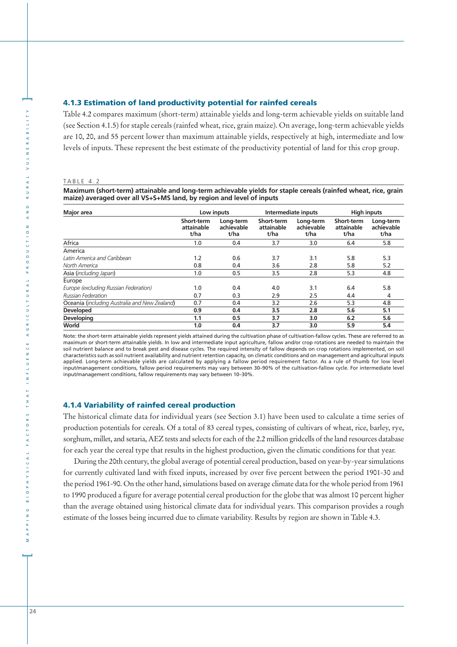#### **4.1.3 Estimation of land productivity potential for rainfed cereals**

Table 4.2 compares maximum (short-term) attainable yields and long-term achievable yields on suitable land (see Section 4.1.5) for staple cereals (rainfed wheat, rice, grain maize). On average, long-term achievable yields are 10, 20, and 55 percent lower than maximum attainable yields, respectively at high, intermediate and low levels of inputs. These represent the best estimate of the productivity potential of land for this crop group.

#### TABLE 4.2

**Maximum (short-term) attainable and long-term achievable yields for staple cereals (rainfed wheat, rice, grain maize) averaged over all VS+S+MS land, by region and level of inputs**

| Major area                                    | Low inputs                              |                                 | Intermediate inputs              |                                 | <b>High inputs</b>               |                                 |
|-----------------------------------------------|-----------------------------------------|---------------------------------|----------------------------------|---------------------------------|----------------------------------|---------------------------------|
|                                               | <b>Short-term</b><br>attainable<br>t/ha | Long-term<br>achievable<br>t/ha | Short-term<br>attainable<br>t/ha | Long-term<br>achievable<br>t/ha | Short-term<br>attainable<br>t/ha | Long-term<br>achievable<br>t/ha |
| Africa                                        | 1.0                                     | 0.4                             | 3.7                              | 3.0                             | 6.4                              | 5.8                             |
| America                                       |                                         |                                 |                                  |                                 |                                  |                                 |
| Latin America and Caribbean                   | 1.2                                     | 0.6                             | 3.7                              | 3.1                             | 5.8                              | 5.3                             |
| North America                                 | 0.8                                     | 0.4                             | 3.6                              | 2.8                             | 5.8                              | 5.2                             |
| Asia (including Japan)                        | 1.0                                     | 0.5                             | 3.5                              | 2.8                             | 5.3                              | 4.8                             |
| Europe                                        |                                         |                                 |                                  |                                 |                                  |                                 |
| Europe (excluding Russian Federation)         | 1.0                                     | 0.4                             | 4.0                              | 3.1                             | 6.4                              | 5.8                             |
| Russian Federation                            | 0.7                                     | 0.3                             | 2.9                              | 2.5                             | 4.4                              | 4                               |
| Oceania (including Australia and New Zealand) | 0.7                                     | 0.4                             | 3.2                              | 2.6                             | 5.3                              | 4.8                             |
| <b>Developed</b>                              | 0.9                                     | 0.4                             | 3.5                              | 2.8                             | 5.6                              | 5.1                             |
| <b>Developing</b>                             | 1.1                                     | 0.5                             | 3.7                              | 3.0                             | 6.2                              | 5.6                             |
| World                                         | 1.0                                     | 0.4                             | 3.7                              | 3.0                             | 5.9                              | 5.4                             |

Note: the short-term attainable yields represent yields attained during the cultivation phase of cultivation-fallow cycles. These are referred to as maximum or short-term attainable yields. In low and intermediate input agriculture, fallow and/or crop rotations are needed to maintain the soil nutrient balance and to break pest and disease cycles. The required intensity of fallow depends on crop rotations implemented, on soil characteristics such as soil nutrient availability and nutrient retention capacity, on climatic conditions and on management and agricultural inputs applied. Long-term achievable yields are calculated by applying a fallow period requirement factor. As a rule of thumb for low level input/management conditions, fallow period requirements may vary between 30–90% of the cultivation-fallow cycle. For intermediate level input/management conditions, fallow requirements may vary between 10–30%.

#### **4.1.4 Variability of rainfed cereal production**

The historical climate data for individual years (see Section 3.1) have been used to calculate a time series of production potentials for cereals. Of a total of 83 cereal types, consisting of cultivars of wheat, rice, barley, rye, sorghum, millet, and setaria, AEZ tests and selects for each of the 2.2 million gridcells of the land resources database for each year the cereal type that results in the highest production, given the climatic conditions for that year.

During the 20th century, the global average of potential cereal production, based on year-by-year simulations for currently cultivated land with fixed inputs, increased by over five percent between the period 1901-30 and the period 1961-90. On the other hand, simulations based on average climate data for the whole period from 1961 to 1990 produced a figure for average potential cereal production for the globe that was almost 10 percent higher than the average obtained using historical climate data for individual years. This comparison provides a rough estimate of the losses being incurred due to climate variability. Results by region are shown in Table 4.3.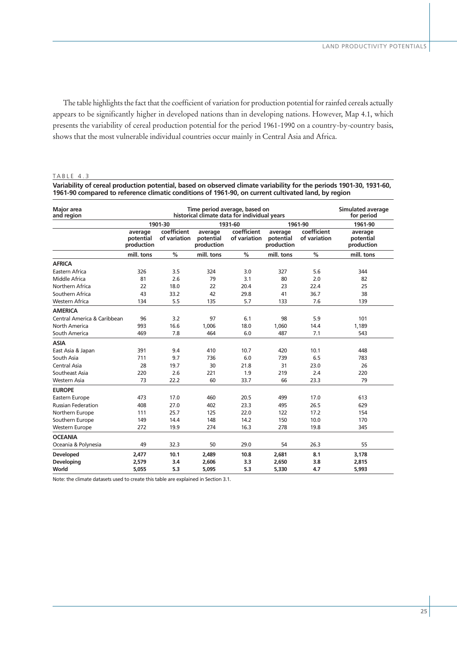The table highlights the fact that the coefficient of variation for production potential for rainfed cereals actually appears to be significantly higher in developed nations than in developing nations. However, Map 4.1, which presents the variability of cereal production potential for the period 1961-1990 on a country-by-country basis, shows that the most vulnerable individual countries occur mainly in Central Asia and Africa.

#### TABLE 4.3

**Variability of cereal production potential, based on observed climate variability for the periods 1901-30, 1931-60, 1961-90 compared to reference climatic conditions of 1961-90, on current cultivated land, by region**

| <b>Major</b> area<br>and region | Time period average, based on<br>historical climate data for individual years |                               |                                    |                             |                                    |                             | <b>Simulated average</b><br>for period |
|---------------------------------|-------------------------------------------------------------------------------|-------------------------------|------------------------------------|-----------------------------|------------------------------------|-----------------------------|----------------------------------------|
|                                 |                                                                               | 1901-30<br>1931-60<br>1961-90 |                                    |                             |                                    |                             | 1961-90                                |
|                                 | average<br>potential<br>production                                            | coefficient<br>of variation   | average<br>potential<br>production | coefficient<br>of variation | average<br>potential<br>production | coefficient<br>of variation | average<br>potential<br>production     |
|                                 | mill. tons                                                                    | $\frac{0}{0}$                 | mill. tons                         | $\frac{0}{0}$               | mill. tons                         | %                           | mill. tons                             |
| <b>AFRICA</b>                   |                                                                               |                               |                                    |                             |                                    |                             |                                        |
| Eastern Africa                  | 326                                                                           | 3.5                           | 324                                | 3.0                         | 327                                | 5.6                         | 344                                    |
| Middle Africa                   | 81                                                                            | 2.6                           | 79                                 | 3.1                         | 80                                 | 2.0                         | 82                                     |
| Northern Africa                 | 22                                                                            | 18.0                          | 22                                 | 20.4                        | 23                                 | 22.4                        | 25                                     |
| Southern Africa                 | 43                                                                            | 33.2                          | 42                                 | 29.8                        | 41                                 | 36.7                        | 38                                     |
| Western Africa                  | 134                                                                           | 5.5                           | 135                                | 5.7                         | 133                                | 7.6                         | 139                                    |
| <b>AMERICA</b>                  |                                                                               |                               |                                    |                             |                                    |                             |                                        |
| Central America & Caribbean     | 96                                                                            | 3.2                           | 97                                 | 6.1                         | 98                                 | 5.9                         | 101                                    |
| North America                   | 993                                                                           | 16.6                          | 1,006                              | 18.0                        | 1,060                              | 14.4                        | 1,189                                  |
| South America                   | 469                                                                           | 7.8                           | 464                                | 6.0                         | 487                                | 7.1                         | 543                                    |
| <b>ASIA</b>                     |                                                                               |                               |                                    |                             |                                    |                             |                                        |
| East Asia & Japan               | 391                                                                           | 9.4                           | 410                                | 10.7                        | 420                                | 10.1                        | 448                                    |
| South Asia                      | 711                                                                           | 9.7                           | 736                                | 6.0                         | 739                                | 6.5                         | 783                                    |
| Central Asia                    | 28                                                                            | 19.7                          | 30                                 | 21.8                        | 31                                 | 23.0                        | 26                                     |
| Southeast Asia                  | 220                                                                           | 2.6                           | 221                                | 1.9                         | 219                                | 2.4                         | 220                                    |
| Western Asia                    | 73                                                                            | 22.2                          | 60                                 | 33.7                        | 66                                 | 23.3                        | 79                                     |
| <b>EUROPE</b>                   |                                                                               |                               |                                    |                             |                                    |                             |                                        |
| Eastern Europe                  | 473                                                                           | 17.0                          | 460                                | 20.5                        | 499                                | 17.0                        | 613                                    |
| <b>Russian Federation</b>       | 408                                                                           | 27.0                          | 402                                | 23.3                        | 495                                | 26.5                        | 629                                    |
| Northern Europe                 | 111                                                                           | 25.7                          | 125                                | 22.0                        | 122                                | 17.2                        | 154                                    |
| Southern Europe                 | 149                                                                           | 14.4                          | 148                                | 14.2                        | 150                                | 10.0                        | 170                                    |
| <b>Western Europe</b>           | 272                                                                           | 19.9                          | 274                                | 16.3                        | 278                                | 19.8                        | 345                                    |
| <b>OCEANIA</b>                  |                                                                               |                               |                                    |                             |                                    |                             |                                        |
| Oceania & Polynesia             | 49                                                                            | 32.3                          | 50                                 | 29.0                        | 54                                 | 26.3                        | 55                                     |
| Developed                       | 2.477                                                                         | 10.1                          | 2,489                              | 10.8                        | 2.681                              | 8.1                         | 3.178                                  |
| Developing                      | 2,579                                                                         | 3.4                           | 2,606                              | 3.3                         | 2,650                              | 3.8                         | 2,815                                  |
| World                           | 5,055                                                                         | 5.3                           | 5.095                              | 5.3                         | 5,330                              | 4.7                         | 5,993                                  |

Note: the climate datasets used to create this table are explained in Section 3.1.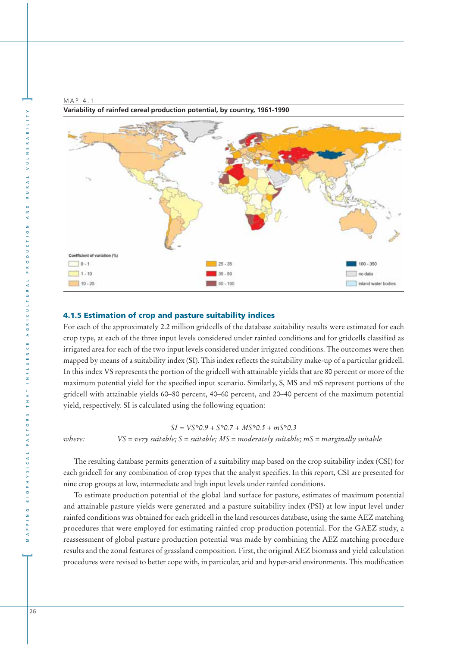MAP 4.1



## **4.1.5 Estimation of crop and pasture suitability indices**

For each of the approximately 2.2 million gridcells of the database suitability results were estimated for each crop type, at each of the three input levels considered under rainfed conditions and for gridcells classified as irrigated area for each of the two input levels considered under irrigated conditions. The outcomes were then mapped by means of a suitability index (SI). This index reflects the suitability make-up of a particular gridcell. In this index VS represents the portion of the gridcell with attainable yields that are 80 percent or more of the maximum potential yield for the specified input scenario. Similarly, S, MS and mS represent portions of the gridcell with attainable yields 60–80 percent, 40–60 percent, and 20–40 percent of the maximum potential yield, respectively. SI is calculated using the following equation:

*SI = VS\*0.9 + S\*0.7 + MS\*0.5 + mS\*0.3 where: VS = very suitable; S = suitable; MS = moderately suitable; mS = marginally suitable*

The resulting database permits generation of a suitability map based on the crop suitability index (CSI) for each gridcell for any combination of crop types that the analyst specifies. In this report, CSI are presented for nine crop groups at low, intermediate and high input levels under rainfed conditions.

To estimate production potential of the global land surface for pasture, estimates of maximum potential and attainable pasture yields were generated and a pasture suitability index (PSI) at low input level under rainfed conditions was obtained for each gridcell in the land resources database, using the same AEZ matching procedures that were employed for estimating rainfed crop production potential. For the GAEZ study, a reassessment of global pasture production potential was made by combining the AEZ matching procedure results and the zonal features of grassland composition. First, the original AEZ biomass and yield calculation procedures were revised to better cope with, in particular, arid and hyper-arid environments. This modification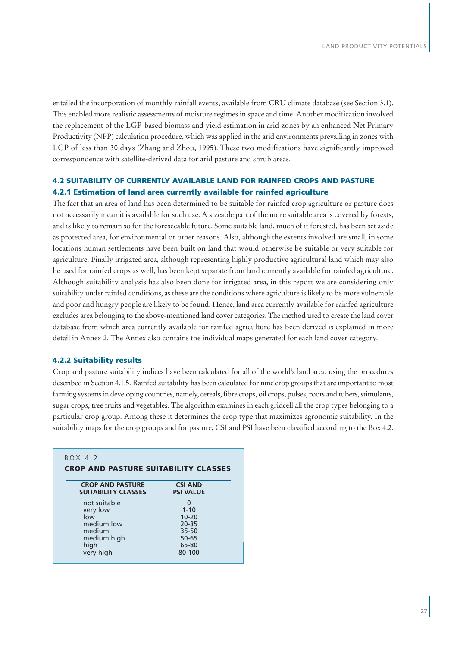entailed the incorporation of monthly rainfall events, available from CRU climate database (see Section 3.1). This enabled more realistic assessments of moisture regimes in space and time. Another modification involved the replacement of the LGP-based biomass and yield estimation in arid zones by an enhanced Net Primary Productivity (NPP) calculation procedure, which was applied in the arid environments prevailing in zones with LGP of less than 30 days (Zhang and Zhou, 1995). These two modifications have significantly improved correspondence with satellite-derived data for arid pasture and shrub areas.

# **4.2 SUITABILITY OF CURRENTLY AVAILABLE LAND FOR RAINFED CROPS AND PASTURE 4.2.1 Estimation of land area currently available for rainfed agriculture**

The fact that an area of land has been determined to be suitable for rainfed crop agriculture or pasture does not necessarily mean it is available for such use. A sizeable part of the more suitable area is covered by forests, and is likely to remain so for the foreseeable future. Some suitable land, much of it forested, has been set aside as protected area, for environmental or other reasons. Also, although the extents involved are small, in some locations human settlements have been built on land that would otherwise be suitable or very suitable for agriculture. Finally irrigated area, although representing highly productive agricultural land which may also be used for rainfed crops as well, has been kept separate from land currently available for rainfed agriculture. Although suitability analysis has also been done for irrigated area, in this report we are considering only suitability under rainfed conditions, as these are the conditions where agriculture is likely to be more vulnerable and poor and hungry people are likely to be found. Hence, land area currently available for rainfed agriculture excludes area belonging to the above-mentioned land cover categories. The method used to create the land cover database from which area currently available for rainfed agriculture has been derived is explained in more detail in Annex 2. The Annex also contains the individual maps generated for each land cover category.

### **4.2.2 Suitability results**

Crop and pasture suitability indices have been calculated for all of the world's land area, using the procedures described in Section 4.1.5. Rainfed suitability has been calculated for nine crop groups that are important to most farming systems in developing countries, namely, cereals, fibre crops, oil crops, pulses, roots and tubers, stimulants, sugar crops, tree fruits and vegetables. The algorithm examines in each gridcell all the crop types belonging to a particular crop group. Among these it determines the crop type that maximizes agronomic suitability. In the suitability maps for the crop groups and for pasture, CSI and PSI have been classified according to the Box 4.2.

| <b>CROP AND PASTURE</b><br><b>SUITABILITY CLASSES</b> | <b>CSI AND</b><br><b>PSI VALUE</b> |
|-------------------------------------------------------|------------------------------------|
| not suitable                                          | 0                                  |
| very low                                              | $1 - 10$                           |
| low                                                   | $10 - 20$                          |
| medium low                                            | $20 - 35$                          |
| medium                                                | $35 - 50$                          |
| medium high                                           | $50 - 65$                          |
| high                                                  | 65-80                              |
| very high                                             | 80-100                             |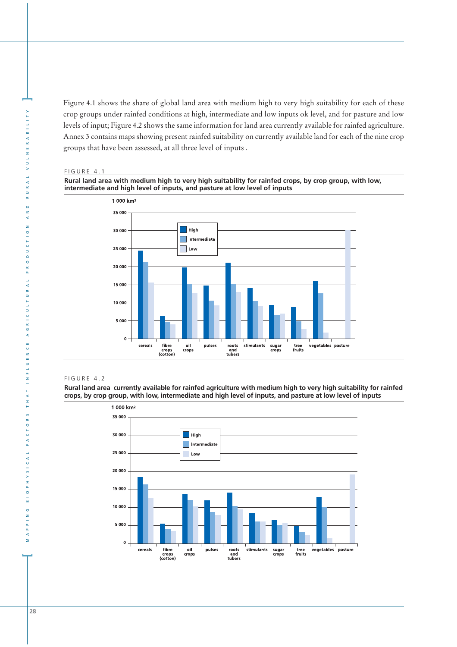Figure 4.1 shows the share of global land area with medium high to very high suitability for each of these crop groups under rainfed conditions at high, intermediate and low inputs ok level, and for pasture and low levels of input; Figure 4.2 shows the same information for land area currently available for rainfed agriculture. Annex 3 contains maps showing present rainfed suitability on currently available land for each of the nine crop groups that have been assessed, at all three level of inputs .

#### FIGURE 4.1

**Rural land area with medium high to very high suitability for rainfed crops, by crop group, with low, intermediate and high level of inputs, and pasture at low level of inputs**



#### FIGURE 4.2

**Rural land area currently available for rainfed agriculture with medium high to very high suitability for rainfed crops, by crop group, with low, intermediate and high level of inputs, and pasture at low level of inputs**



**[**

 $\overline{z}$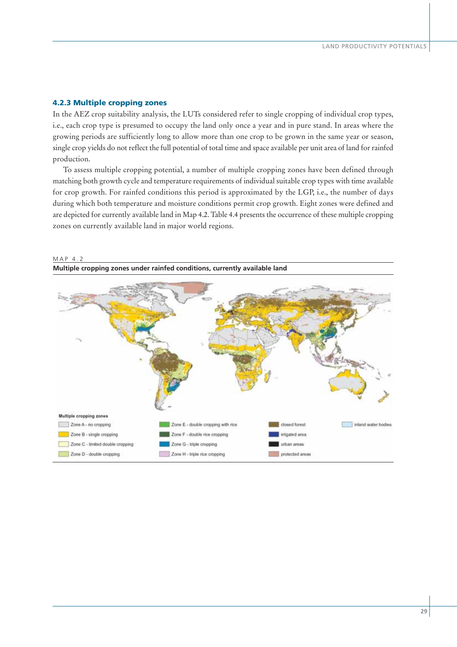## **4.2.3 Multiple cropping zones**

In the AEZ crop suitability analysis, the LUTs considered refer to single cropping of individual crop types, i.e., each crop type is presumed to occupy the land only once a year and in pure stand. In areas where the growing periods are sufficiently long to allow more than one crop to be grown in the same year or season, single crop yields do not reflect the full potential of total time and space available per unit area of land for rainfed production.

To assess multiple cropping potential, a number of multiple cropping zones have been defined through matching both growth cycle and temperature requirements of individual suitable crop types with time available for crop growth. For rainfed conditions this period is approximated by the LGP, i.e., the number of days during which both temperature and moisture conditions permit crop growth. Eight zones were defined and are depicted for currently available land in Map 4.2. Table 4.4 presents the occurrence of these multiple cropping zones on currently available land in major world regions.



## MAP 4.2 **Multiple cropping zones under rainfed conditions, currently available land**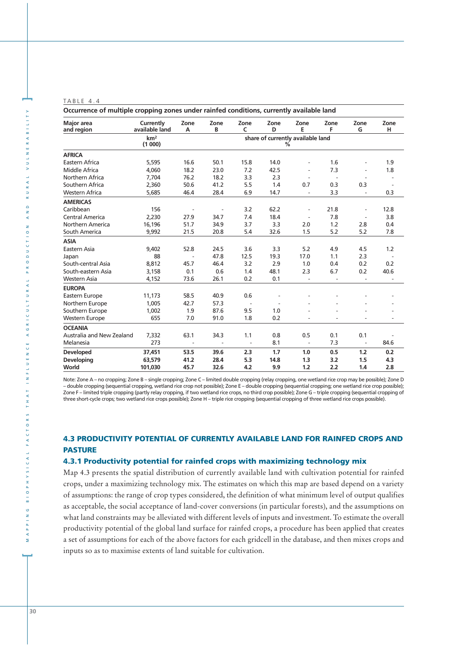| Occurrence of multiple cropping zones under rainfed conditions, currently available land |                             |                          |                          |                          |           |                                   |                          |                          |                          |
|------------------------------------------------------------------------------------------|-----------------------------|--------------------------|--------------------------|--------------------------|-----------|-----------------------------------|--------------------------|--------------------------|--------------------------|
| <b>Major</b> area<br>and region                                                          | Currently<br>available land | Zone<br>A                | Zone<br>B                | Zone<br>C                | Zone<br>D | Zone<br>E                         | Zone<br>F                | Zone<br>G                | Zone<br>н                |
|                                                                                          | km <sup>2</sup>             |                          |                          |                          |           | share of currently available land |                          |                          |                          |
|                                                                                          | (1000)                      |                          |                          |                          |           | %                                 |                          |                          |                          |
| <b>AFRICA</b>                                                                            |                             |                          |                          |                          |           |                                   |                          |                          |                          |
| Eastern Africa                                                                           | 5,595                       | 16.6                     | 50.1                     | 15.8                     | 14.0      |                                   | 1.6                      | $\overline{\phantom{a}}$ | 1.9                      |
| Middle Africa                                                                            | 4,060                       | 18.2                     | 23.0                     | 7.2                      | 42.5      |                                   | 7.3                      | $\overline{a}$           | 1.8                      |
| Northern Africa                                                                          | 7,704                       | 76.2                     | 18.2                     | 3.3                      | 2.3       |                                   | $\overline{a}$           | $\overline{\phantom{a}}$ | $\overline{\phantom{a}}$ |
| Southern Africa                                                                          | 2,360                       | 50.6                     | 41.2                     | 5.5                      | 1.4       | 0.7                               | 0.3                      | 0.3                      | $\overline{\phantom{a}}$ |
| <b>Western Africa</b>                                                                    | 5,685                       | 46.4                     | 28.4                     | 6.9                      | 14.7      | $\overline{\phantom{a}}$          | 3.3                      | $\overline{\phantom{a}}$ | 0.3                      |
| <b>AMERICAS</b>                                                                          |                             |                          |                          |                          |           |                                   |                          |                          |                          |
| Caribbean                                                                                | 156                         | $\overline{\phantom{a}}$ | $\overline{\phantom{a}}$ | 3.2                      | 62.2      | $\overline{\phantom{a}}$          | 21.8                     | $\overline{\phantom{a}}$ | 12.8                     |
| <b>Central America</b>                                                                   | 2,230                       | 27.9                     | 34.7                     | 7.4                      | 18.4      |                                   | 7.8                      | $\overline{\phantom{a}}$ | 3.8                      |
| Northern America                                                                         | 16,196                      | 51.7                     | 34.9                     | 3.7                      | 3.3       | 2.0                               | 1.2                      | 2.8                      | 0.4                      |
| South America                                                                            | 9,992                       | 21.5                     | 20.8                     | 5.4                      | 32.6      | 1.5                               | 5.2                      | 5.2                      | 7.8                      |
| <b>ASIA</b>                                                                              |                             |                          |                          |                          |           |                                   |                          |                          |                          |
| Eastern Asia                                                                             | 9,402                       | 52.8                     | 24.5                     | 3.6                      | 3.3       | 5.2                               | 4.9                      | 4.5                      | 1.2                      |
| Japan                                                                                    | 88                          | $\overline{\phantom{a}}$ | 47.8                     | 12.5                     | 19.3      | 17.0                              | 1.1                      | 2.3                      | $\sim$ $-$               |
| South-central Asia                                                                       | 8,812                       | 45.7                     | 46.4                     | 3.2                      | 2.9       | 1.0                               | 0.4                      | 0.2                      | 0.2                      |
| South-eastern Asia                                                                       | 3,158                       | 0.1                      | 0.6                      | 1.4                      | 48.1      | 2.3                               | 6.7                      | 0.2                      | 40.6                     |
| Western Asia                                                                             | 4,152                       | 73.6                     | 26.1                     | 0.2                      | 0.1       | $\overline{\phantom{a}}$          | $\overline{\phantom{a}}$ | $\overline{\phantom{a}}$ |                          |
| <b>EUROPA</b>                                                                            |                             |                          |                          |                          |           |                                   |                          |                          |                          |
| Eastern Europe                                                                           | 11,173                      | 58.5                     | 40.9                     | 0.6                      |           |                                   |                          |                          |                          |
| Northern Europe                                                                          | 1,005                       | 42.7                     | 57.3                     |                          |           |                                   |                          |                          |                          |
| Southern Europe                                                                          | 1,002                       | 1.9                      | 87.6                     | 9.5                      | 1.0       |                                   |                          |                          |                          |
| <b>Western Europe</b>                                                                    | 655                         | 7.0                      | 91.0                     | 1.8                      | 0.2       |                                   |                          |                          |                          |
| <b>OCEANIA</b>                                                                           |                             |                          |                          |                          |           |                                   |                          |                          |                          |
| Australia and New Zealand                                                                | 7,332                       | 63.1                     | 34.3                     | 1.1                      | 0.8       | 0.5                               | 0.1                      | 0.1                      |                          |
| Melanesia                                                                                | 273                         | $\overline{\phantom{a}}$ | $\overline{\phantom{a}}$ | $\overline{\phantom{a}}$ | 8.1       | $\frac{1}{2}$                     | 7.3                      | $\overline{\phantom{a}}$ | 84.6                     |
| <b>Developed</b>                                                                         | 37,451                      | 53.5                     | 39.6                     | 2.3                      | 1.7       | 1.0                               | 0.5                      | 1.2                      | 0.2                      |
| <b>Developing</b>                                                                        | 63,579                      | 41.2                     | 28.4                     | 5.3                      | 14.8      | 1.3                               | 3.2                      | 1.5                      | 4.3                      |
| World                                                                                    | 101,030                     | 45.7                     | 32.6                     | 4.2                      | 9.9       | 1.2                               | 2.2                      | 1.4                      | 2.8                      |

Note: Zone A – no cropping; Zone B – single cropping; Zone C – limited double cropping (relay cropping, one wetland rice crop may be possible); Zone D – double cropping (sequential cropping, wetland rice crop not possible); Zone E – double cropping (sequential cropping; one wetland rice crop possible); Zone F – limited triple cropping (partly relay cropping, if two wetland rice crops, no third crop possible); Zone G – triple cropping (sequential cropping of three short-cycle crops; two wetland rice crops possible); Zone H – triple rice cropping (sequential cropping of three wetland rice crops possible).

## **4.3 PRODUCTIVITY POTENTIAL OF CURRENTLY AVAILABLE LAND FOR RAINFED CROPS AND PASTURE**

## **4.3.1 Productivity potential for rainfed crops with maximizing technology mix**

Map 4.3 presents the spatial distribution of currently available land with cultivation potential for rainfed crops, under a maximizing technology mix. The estimates on which this map are based depend on a variety of assumptions: the range of crop types considered, the definition of what minimum level of output qualifies as acceptable, the social acceptance of land-cover conversions (in particular forests), and the assumptions on what land constraints may be alleviated with different levels of inputs and investment. To estimate the overall productivity potential of the global land surface for rainfed crops, a procedure has been applied that creates a set of assumptions for each of the above factors for each gridcell in the database, and then mixes crops and inputs so as to maximise extents of land suitable for cultivation.

**]**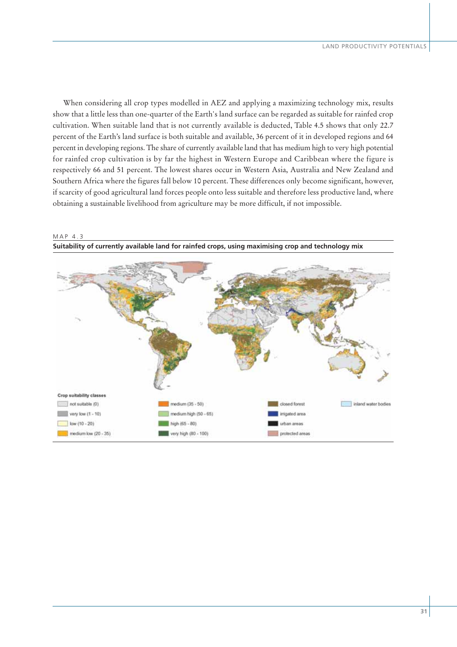When considering all crop types modelled in AEZ and applying a maximizing technology mix, results show that a little less than one-quarter of the Earth's land surface can be regarded as suitable for rainfed crop cultivation. When suitable land that is not currently available is deducted, Table 4.5 shows that only 22.7 percent of the Earth's land surface is both suitable and available, 36 percent of it in developed regions and 64 percent in developing regions. The share of currently available land that has medium high to very high potential for rainfed crop cultivation is by far the highest in Western Europe and Caribbean where the figure is respectively 66 and 51 percent. The lowest shares occur in Western Asia, Australia and New Zealand and Southern Africa where the figures fall below 10 percent. These differences only become significant, however, if scarcity of good agricultural land forces people onto less suitable and therefore less productive land, where obtaining a sustainable livelihood from agriculture may be more difficult, if not impossible.



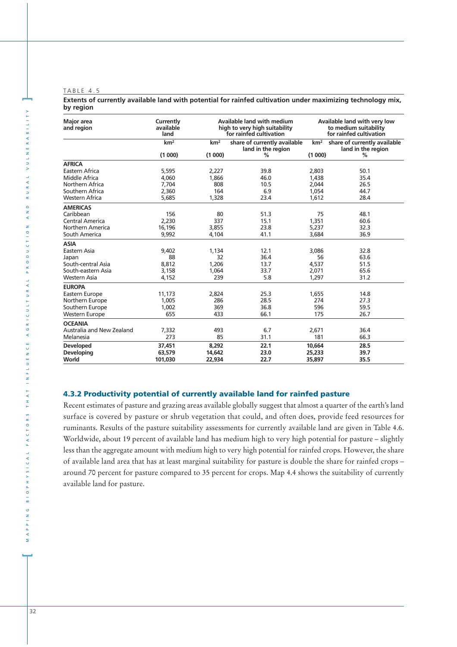**Extents of currently available land with potential for rainfed cultivation under maximizing technology mix, by region**

| <b>Major</b> area<br>and region | Currently<br>available<br>land | Available land with medium<br>high to very high suitability<br>for rainfed cultivation |                                                    | Available land with very low<br>to medium suitability<br>for rainfed cultivation |                                                    |  |
|---------------------------------|--------------------------------|----------------------------------------------------------------------------------------|----------------------------------------------------|----------------------------------------------------------------------------------|----------------------------------------------------|--|
|                                 | km <sup>2</sup>                | km <sup>2</sup>                                                                        | share of currently available<br>land in the region | km <sup>2</sup>                                                                  | share of currently available<br>land in the region |  |
|                                 | (1000)                         | (1000)                                                                                 | $\%$                                               | (1000)                                                                           | $\%$                                               |  |
| <b>AFRICA</b>                   |                                |                                                                                        |                                                    |                                                                                  |                                                    |  |
| Eastern Africa                  | 5,595                          | 2,227                                                                                  | 39.8                                               | 2,803                                                                            | 50.1                                               |  |
| Middle Africa                   | 4,060                          | 1.866                                                                                  | 46.0                                               | 1,438                                                                            | 35.4                                               |  |
| Northern Africa                 | 7.704                          | 808                                                                                    | 10.5                                               | 2.044                                                                            | 26.5                                               |  |
| Southern Africa                 | 2,360                          | 164                                                                                    | 6.9                                                | 1,054                                                                            | 44.7                                               |  |
| <b>Western Africa</b>           | 5,685                          | 1,328                                                                                  | 23.4                                               | 1,612                                                                            | 28.4                                               |  |
| <b>AMERICAS</b>                 |                                |                                                                                        |                                                    |                                                                                  |                                                    |  |
| Caribbean                       | 156                            | 80                                                                                     | 51.3                                               | 75                                                                               | 48.1                                               |  |
| Central America                 | 2,230                          | 337                                                                                    | 15.1                                               | 1,351                                                                            | 60.6                                               |  |
| Northern America                | 16.196                         | 3,855                                                                                  | 23.8                                               | 5.237                                                                            | 32.3                                               |  |
| South America                   | 9,992                          | 4,104                                                                                  | 41.1                                               | 3,684                                                                            | 36.9                                               |  |
| <b>ASIA</b>                     |                                |                                                                                        |                                                    |                                                                                  |                                                    |  |
| Eastern Asia                    | 9,402                          | 1.134                                                                                  | 12.1                                               | 3.086                                                                            | 32.8                                               |  |
| Japan                           | 88                             | 32                                                                                     | 36.4                                               | 56                                                                               | 63.6                                               |  |
| South-central Asia              | 8,812                          | 1,206                                                                                  | 13.7                                               | 4,537                                                                            | 51.5                                               |  |
| South-eastern Asia              | 3,158                          | 1.064                                                                                  | 33.7                                               | 2,071                                                                            | 65.6                                               |  |
| <b>Western Asia</b>             | 4,152                          | 239                                                                                    | 5.8                                                | 1,297                                                                            | 31.2                                               |  |
| <b>EUROPA</b>                   |                                |                                                                                        |                                                    |                                                                                  |                                                    |  |
| Eastern Europe                  | 11,173                         | 2,824                                                                                  | 25.3                                               | 1,655                                                                            | 14.8                                               |  |
| Northern Europe                 | 1,005                          | 286                                                                                    | 28.5                                               | 274                                                                              | 27.3                                               |  |
| Southern Europe                 | 1,002                          | 369                                                                                    | 36.8                                               | 596                                                                              | 59.5                                               |  |
| <b>Western Europe</b>           | 655                            | 433                                                                                    | 66.1                                               | 175                                                                              | 26.7                                               |  |
| <b>OCEANIA</b>                  |                                |                                                                                        |                                                    |                                                                                  |                                                    |  |
| Australia and New Zealand       | 7,332                          | 493                                                                                    | 6.7                                                | 2,671                                                                            | 36.4                                               |  |
| Melanesia                       | 273                            | 85                                                                                     | 31.1                                               | 181                                                                              | 66.3                                               |  |
| <b>Developed</b>                | 37,451                         | 8,292                                                                                  | 22.1                                               | 10,664                                                                           | 28.5                                               |  |
| <b>Developing</b>               | 63,579                         | 14,642                                                                                 | 23.0                                               | 25,233                                                                           | 39.7                                               |  |
| World                           | 101.030                        | 22,934                                                                                 | 22.7                                               | 35,897                                                                           | 35.5                                               |  |

## **4.3.2 Productivity potential of currently available land for rainfed pasture**

Recent estimates of pasture and grazing areas available globally suggest that almost a quarter of the earth's land surface is covered by pasture or shrub vegetation that could, and often does, provide feed resources for ruminants. Results of the pasture suitability assessments for currently available land are given in Table 4.6. Worldwide, about 19 percent of available land has medium high to very high potential for pasture – slightly less than the aggregate amount with medium high to very high potential for rainfed crops. However, the share of available land area that has at least marginal suitability for pasture is double the share for rainfed crops – around 70 percent for pasture compared to 35 percent for crops. Map 4.4 shows the suitability of currently available land for pasture.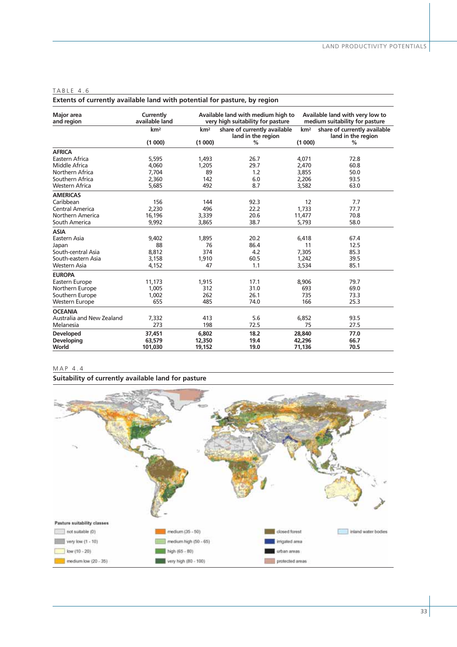| Extents of currently available land with potential for pasture, by region |                             |                 |                                                                         |                 |                                                                   |  |  |
|---------------------------------------------------------------------------|-----------------------------|-----------------|-------------------------------------------------------------------------|-----------------|-------------------------------------------------------------------|--|--|
| <b>Major</b> area<br>and region                                           | Currently<br>available land |                 | Available land with medium high to<br>very high suitability for pasture |                 | Available land with very low to<br>medium suitability for pasture |  |  |
|                                                                           | km <sup>2</sup>             | km <sup>2</sup> | share of currently available<br>land in the region                      | km <sup>2</sup> | share of currently available<br>land in the region                |  |  |
|                                                                           | (1000)                      | (1000)          | %                                                                       | (1000)          | %                                                                 |  |  |
| <b>AFRICA</b>                                                             |                             |                 |                                                                         |                 |                                                                   |  |  |
| Eastern Africa                                                            | 5,595                       | 1,493           | 26.7                                                                    | 4,071           | 72.8                                                              |  |  |
| Middle Africa                                                             | 4,060                       | 1,205           | 29.7                                                                    | 2,470           | 60.8                                                              |  |  |
| Northern Africa                                                           | 7,704                       | 89              | 1.2                                                                     | 3,855           | 50.0                                                              |  |  |
| Southern Africa                                                           | 2,360                       | 142             | 6.0                                                                     | 2,206           | 93.5                                                              |  |  |
| <b>Western Africa</b>                                                     | 5,685                       | 492             | 8.7                                                                     | 3,582           | 63.0                                                              |  |  |
| <b>AMERICAS</b>                                                           |                             |                 |                                                                         |                 |                                                                   |  |  |
| Caribbean                                                                 | 156                         | 144             | 92.3                                                                    | 12              | 7.7                                                               |  |  |
| Central America                                                           | 2,230                       | 496             | 22.2                                                                    | 1,733           | 77.7                                                              |  |  |
| Northern America                                                          | 16,196                      | 3,339           | 20.6                                                                    | 11,477          | 70.8                                                              |  |  |
| South America                                                             | 9,992                       | 3,865           | 38.7                                                                    | 5,793           | 58.0                                                              |  |  |
| <b>ASIA</b>                                                               |                             |                 |                                                                         |                 |                                                                   |  |  |
| Eastern Asia                                                              | 9,402                       | 1,895           | 20.2                                                                    | 6,418           | 67.4                                                              |  |  |
| Japan                                                                     | 88                          | 76              | 86.4                                                                    | 11              | 12.5                                                              |  |  |
| South-central Asia                                                        | 8,812                       | 374             | 4.2                                                                     | 7,305           | 85.3                                                              |  |  |
| South-eastern Asia                                                        | 3,158                       | 1,910           | 60.5                                                                    | 1,242           | 39.5                                                              |  |  |
| Western Asia                                                              | 4,152                       | 47              | 1.1                                                                     | 3,534           | 85.1                                                              |  |  |
| <b>EUROPA</b>                                                             |                             |                 |                                                                         |                 |                                                                   |  |  |
| Eastern Europe                                                            | 11,173                      | 1,915           | 17.1                                                                    | 8,906           | 79.7                                                              |  |  |
| Northern Europe                                                           | 1,005                       | 312             | 31.0                                                                    | 693             | 69.0                                                              |  |  |
| Southern Europe                                                           | 1,002                       | 262             | 26.1                                                                    | 735             | 73.3                                                              |  |  |
| <b>Western Europe</b>                                                     | 655                         | 485             | 74.0                                                                    | 166             | 25.3                                                              |  |  |
| <b>OCEANIA</b>                                                            |                             |                 |                                                                         |                 |                                                                   |  |  |
| Australia and New Zealand                                                 | 7,332                       | 413             | 5.6                                                                     | 6,852           | 93.5                                                              |  |  |
| Melanesia                                                                 | 273                         | 198             | 72.5                                                                    | 75              | 27.5                                                              |  |  |
| <b>Developed</b>                                                          | 37,451                      | 6,802           | 18.2                                                                    | 28,840          | 77.0                                                              |  |  |
| Developing                                                                | 63,579                      | 12,350          | 19.4                                                                    | 42,296          | 66.7                                                              |  |  |
| World                                                                     | 101,030                     | 19,152          | 19.0                                                                    | 71,136          | 70.5                                                              |  |  |

#### MAP 4.4

**Suitability of currently available land for pasture**

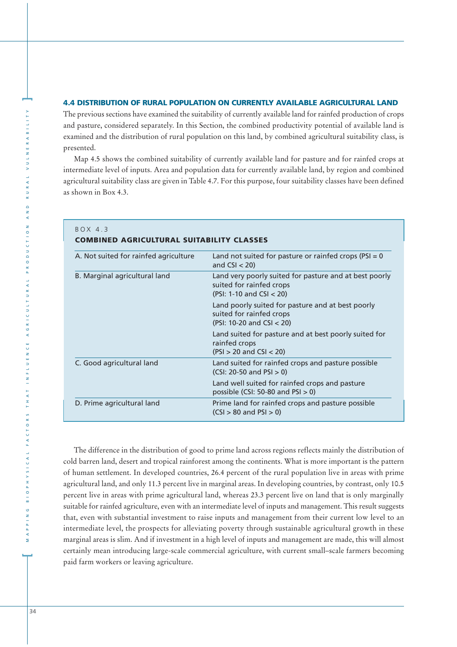#### **4.4 DISTRIBUTION OF RURAL POPULATION ON CURRENTLY AVAILABLE AGRICULTURAL LAND**

The previous sections have examined the suitability of currently available land for rainfed production of crops and pasture, considered separately. In this Section, the combined productivity potential of available land is examined and the distribution of rural population on this land, by combined agricultural suitability class, is presented.

Map 4.5 shows the combined suitability of currently available land for pasture and for rainfed crops at intermediate level of inputs. Area and population data for currently available land, by region and combined agricultural suitability class are given in Table 4.7. For this purpose, four suitability classes have been defined as shown in Box 4.3.

| BOX 4.3<br><b>COMBINED AGRICULTURAL SUITABILITY CLASSES</b> |                                                                                                                  |  |  |  |  |  |  |
|-------------------------------------------------------------|------------------------------------------------------------------------------------------------------------------|--|--|--|--|--|--|
| A. Not suited for rainfed agriculture                       | Land not suited for pasture or rainfed crops ( $PSI = 0$<br>and $CSI < 20$ )                                     |  |  |  |  |  |  |
| B. Marginal agricultural land                               | Land very poorly suited for pasture and at best poorly<br>suited for rainfed crops<br>(PSI: 1-10 and CSI $<$ 20) |  |  |  |  |  |  |
|                                                             | Land poorly suited for pasture and at best poorly<br>suited for rainfed crops<br>(PSI: 10-20 and CSI < 20)       |  |  |  |  |  |  |
|                                                             | Land suited for pasture and at best poorly suited for<br>rainfed crops<br>$(PSI > 20$ and $CSI < 20)$            |  |  |  |  |  |  |
| C. Good agricultural land                                   | Land suited for rainfed crops and pasture possible<br>$(CSI: 20-50$ and $PSI > 0$ )                              |  |  |  |  |  |  |
|                                                             | Land well suited for rainfed crops and pasture<br>possible (CSI: 50-80 and PSI $>$ 0)                            |  |  |  |  |  |  |
| D. Prime agricultural land                                  | Prime land for rainfed crops and pasture possible<br>$(CSI > 80$ and $PSI > 0$ )                                 |  |  |  |  |  |  |

The difference in the distribution of good to prime land across regions reflects mainly the distribution of cold barren land, desert and tropical rainforest among the continents. What is more important is the pattern of human settlement. In developed countries, 26.4 percent of the rural population live in areas with prime agricultural land, and only 11.3 percent live in marginal areas. In developing countries, by contrast, only 10.5 percent live in areas with prime agricultural land, whereas 23.3 percent live on land that is only marginally suitable for rainfed agriculture, even with an intermediate level of inputs and management. This result suggests that, even with substantial investment to raise inputs and management from their current low level to an intermediate level, the prospects for alleviating poverty through sustainable agricultural growth in these marginal areas is slim. And if investment in a high level of inputs and management are made, this will almost certainly mean introducing large-scale commercial agriculture, with current small–scale farmers becoming paid farm workers or leaving agriculture.

**]**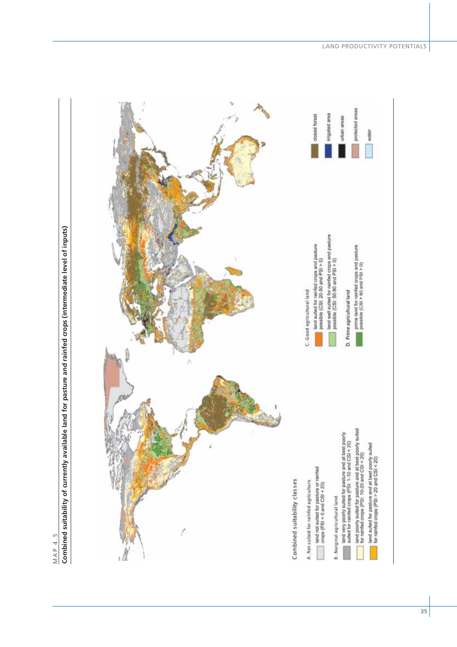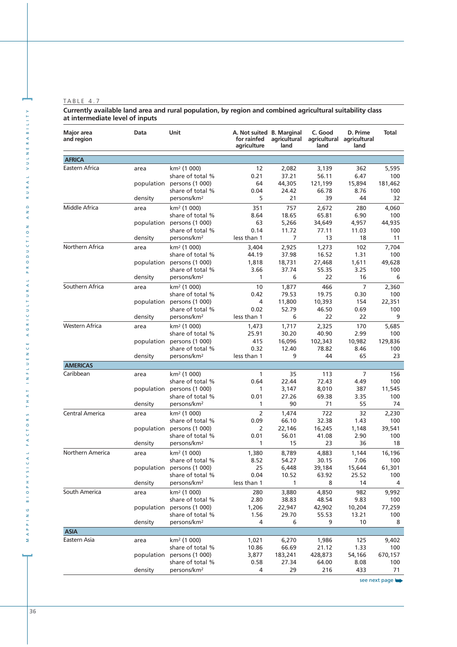**Currently available land area and rural population, by region and combined agricultural suitability class at intermediate level of inputs**

| <b>Major</b> area<br>and region | Data       | Unit                                        | A. Not suited B. Marginal<br>for rainfed<br>agriculture | agricultural<br>land | C. Good<br>land  | D. Prime<br>agricultural agricultural<br>land | Total         |
|---------------------------------|------------|---------------------------------------------|---------------------------------------------------------|----------------------|------------------|-----------------------------------------------|---------------|
| <b>AFRICA</b>                   |            |                                             |                                                         |                      |                  |                                               |               |
| Eastern Africa                  | area       | km <sup>2</sup> (1 000)                     | 12                                                      | 2,082                | 3,139            | 362                                           | 5,595         |
|                                 |            | share of total %                            | 0.21                                                    | 37.21                | 56.11            | 6.47                                          | 100           |
|                                 | population | persons (1 000)                             | 64                                                      | 44,305               | 121,199          | 15,894                                        | 181,462       |
|                                 |            | share of total %                            | 0.04                                                    | 24.42                | 66.78            | 8.76                                          | 100           |
|                                 | density    | persons/km <sup>2</sup>                     | 5                                                       | 21                   | 39               | 44                                            | 32            |
| Middle Africa                   | area       | km <sup>2</sup> (1 000)                     | 351                                                     | 757                  | 2,672            | 280                                           | 4,060         |
|                                 |            | share of total %                            | 8.64                                                    | 18.65                | 65.81            | 6.90                                          | 100           |
|                                 | population | persons (1 000)                             | 63                                                      | 5,266                | 34,649           | 4,957                                         | 44,935        |
|                                 |            | share of total %                            | 0.14                                                    | 11.72                | 77.11            | 11.03                                         | 100           |
|                                 | density    | persons/km <sup>2</sup>                     | less than 1                                             | 7                    | 13               | 18                                            | 11            |
| Northern Africa                 | area       | km <sup>2</sup> (1 000)                     | 3,404                                                   | 2,925                | 1,273            | 102                                           | 7,704         |
|                                 |            | share of total %                            | 44.19                                                   | 37.98                | 16.52            | 1.31                                          | 100           |
|                                 | population | persons (1 000)                             | 1,818                                                   | 18,731               | 27,468           | 1,611                                         | 49,628        |
|                                 |            | share of total %                            | 3.66                                                    | 37.74                | 55.35            | 3.25                                          | 100           |
|                                 | density    | persons/km <sup>2</sup>                     | 1                                                       | 6                    | 22               | 16                                            | 6             |
| Southern Africa                 | area       | km <sup>2</sup> (1 000)                     | 10                                                      | 1,877                | 466              | $\overline{7}$                                | 2,360         |
|                                 |            | share of total %                            | 0.42                                                    | 79.53                | 19.75            | 0.30                                          | 100           |
|                                 | population | persons (1 000)                             | 4                                                       | 11,800               | 10,393           | 154                                           | 22,351        |
|                                 |            | share of total %                            | 0.02                                                    | 52.79                | 46.50            | 0.69                                          | 100           |
|                                 | density    | persons/km <sup>2</sup>                     | less than 1                                             | 6                    | 22               | 22                                            | 9             |
| Western Africa                  | area       | km <sup>2</sup> (1 000)                     | 1,473                                                   | 1,717                | 2,325            | 170                                           | 5,685         |
|                                 |            | share of total %                            | 25.91                                                   | 30.20                | 40.90            | 2.99                                          | 100           |
|                                 | population | persons (1 000)                             | 415                                                     | 16,096               | 102,343          | 10,982                                        | 129,836       |
|                                 |            | share of total %                            | 0.32                                                    | 12.40                | 78.82            | 8.46                                          | 100           |
|                                 | density    | persons/km <sup>2</sup>                     | less than 1                                             | 9                    | 44               | 65                                            | 23            |
| <b>AMERICAS</b>                 |            |                                             |                                                         |                      |                  |                                               |               |
| Caribbean                       | area       | km <sup>2</sup> (1 000)                     | 1                                                       | 35                   | 113              | 7                                             | 156           |
|                                 |            | share of total %                            | 0.64                                                    | 22.44                | 72.43            | 4.49                                          | 100           |
|                                 | population | persons (1 000)                             | 1                                                       | 3,147                | 8,010            | 387                                           | 11,545        |
|                                 |            | share of total %<br>persons/km <sup>2</sup> | 0.01<br>1                                               | 27.26<br>90          | 69.38<br>71      | 3.35<br>55                                    | 100<br>74     |
|                                 | density    |                                             |                                                         |                      |                  |                                               |               |
| Central America                 | area       | km <sup>2</sup> (1 000)                     | $\overline{2}$                                          | 1,474                | 722              | 32                                            | 2,230         |
|                                 |            | share of total %                            | 0.09                                                    | 66.10                | 32.38            | 1.43                                          | 100           |
|                                 | population | persons (1 000)<br>share of total %         | 2<br>0.01                                               | 22,146<br>56.01      | 16,245<br>41.08  | 1,148<br>2.90                                 | 39,541<br>100 |
|                                 | density    | persons/km <sup>2</sup>                     | 1                                                       | 15                   | 23               | 36                                            | 18            |
|                                 |            |                                             |                                                         |                      |                  |                                               |               |
| Northern America                | area       | km² (1 000)<br>share of total %             | 1,380<br>8.52                                           | 8,789<br>54.27       | 4,883            | 1,144<br>7.06                                 | 16,196<br>100 |
|                                 |            | persons (1 000)                             | 25                                                      | 6,448                | 30.15<br>39,184  | 15,644                                        | 61,301        |
|                                 | population | share of total %                            | 0.04                                                    | 10.52                | 63.92            | 25.52                                         | 100           |
|                                 | density    | persons/km <sup>2</sup>                     | less than 1                                             | 1                    | 8                | 14                                            | 4             |
|                                 |            |                                             |                                                         |                      |                  |                                               |               |
| South America                   | area       | km <sup>2</sup> (1 000)<br>share of total % | 280<br>2.80                                             | 3,880<br>38.83       | 4,850<br>48.54   | 982<br>9.83                                   | 9,992         |
|                                 | population | persons (1 000)                             | 1,206                                                   | 22,947               | 42,902           | 10,204                                        | 100<br>77,259 |
|                                 |            | share of total %                            | 1.56                                                    | 29.70                | 55.53            | 13.21                                         | 100           |
|                                 | density    | persons/km <sup>2</sup>                     | 4                                                       | 6                    | 9                | 10                                            | 8             |
| <b>ASIA</b>                     |            |                                             |                                                         |                      |                  |                                               |               |
| Eastern Asia                    |            | km <sup>2</sup> (1 000)                     |                                                         |                      |                  |                                               |               |
|                                 | area       | share of total %                            | 1,021                                                   | 6,270                | 1,986            | 125                                           | 9,402<br>100  |
|                                 | population | persons (1 000)                             | 10.86<br>3,877                                          | 66.69<br>183,241     | 21.12<br>428,873 | 1.33<br>54,166                                | 670,157       |
|                                 |            | share of total %                            | 0.58                                                    | 27.34                | 64.00            | 8.08                                          | 100           |
|                                 | density    | persons/km <sup>2</sup>                     | 4                                                       | 29                   | 216              | 433                                           | 71            |
|                                 |            |                                             |                                                         |                      |                  |                                               |               |

see next page

**]**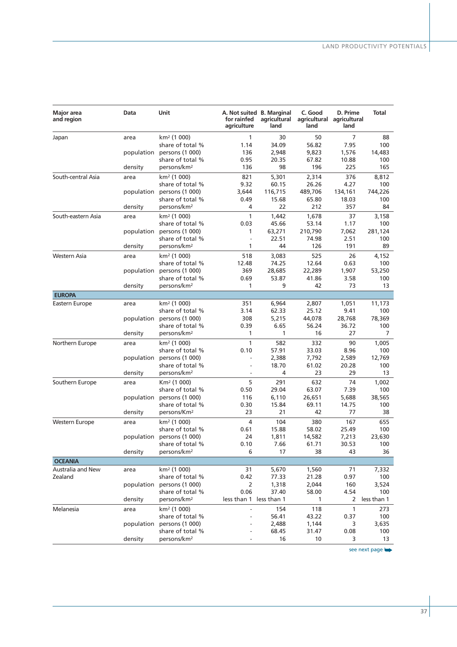| Major area<br>and region | Data       | Unit                       | for rainfed<br>agriculture | A. Not suited B. Marginal<br>agricultural<br>land | C. Good<br>agricultural agricultural<br>land | D. Prime<br>land | <b>Total</b>   |
|--------------------------|------------|----------------------------|----------------------------|---------------------------------------------------|----------------------------------------------|------------------|----------------|
| Japan                    | area       | km <sup>2</sup> (1 000)    | 1                          | 30                                                | 50                                           | $\overline{7}$   | 88             |
|                          |            | share of total %           | 1.14                       | 34.09                                             | 56.82                                        | 7.95             | 100            |
|                          | population | persons (1 000)            | 136                        | 2,948                                             | 9,823                                        | 1,576            | 14,483         |
|                          |            | share of total %           | 0.95                       | 20.35                                             | 67.82                                        | 10.88            | 100            |
|                          | density    | persons/km <sup>2</sup>    | 136                        | 98                                                | 196                                          | 225              | 165            |
| South-central Asia       | area       | km <sup>2</sup> (1 000)    | 821                        | 5,301                                             | 2,314                                        | 376              | 8,812          |
|                          |            | share of total %           | 9.32                       | 60.15                                             | 26.26                                        | 4.27             | 100            |
|                          |            | population persons (1 000) | 3,644                      | 116,715                                           | 489,706                                      | 134,161          | 744,226        |
|                          |            | share of total %           | 0.49                       | 15.68                                             | 65.80                                        | 18.03            | 100            |
|                          | density    | persons/km <sup>2</sup>    | 4                          | 22                                                | 212                                          | 357              | 84             |
| South-eastern Asia       | area       | km <sup>2</sup> (1 000)    | $\mathbf{1}$               | 1,442                                             | 1,678                                        | 37               | 3,158          |
|                          |            | share of total %           | 0.03                       | 45.66                                             | 53.14                                        | 1.17             | 100            |
|                          | population | persons (1 000)            | 1                          | 63,271                                            | 210,790                                      | 7,062            | 281,124        |
|                          |            | share of total %           | $\overline{a}$             | 22.51                                             | 74.98                                        | 2.51             | 100            |
|                          | density    | persons/km <sup>2</sup>    | 1                          | 44                                                | 126                                          | 191              | 89             |
| Western Asia             | area       | km <sup>2</sup> (1 000)    | 518                        | 3,083                                             | 525                                          | 26               | 4,152          |
|                          |            | share of total %           | 12.48                      | 74.25                                             | 12.64                                        | 0.63             | 100            |
|                          | population | persons (1 000)            | 369                        | 28,685                                            | 22,289                                       | 1,907            | 53,250         |
|                          |            | share of total %           | 0.69                       | 53.87                                             | 41.86                                        | 3.58             | 100            |
|                          | density    | persons/km <sup>2</sup>    | 1                          | 9                                                 | 42                                           | 73               | 13             |
| <b>EUROPA</b>            |            |                            |                            |                                                   |                                              |                  |                |
| Eastern Europe           | area       | km <sup>2</sup> (1 000)    | 351                        | 6,964                                             | 2,807                                        | 1,051            | 11,173         |
|                          |            | share of total %           | 3.14                       | 62.33                                             | 25.12                                        | 9.41             | 100            |
|                          | population | persons (1 000)            | 308                        | 5,215                                             | 44,078                                       | 28,768           | 78,369         |
|                          |            | share of total %           | 0.39                       | 6.65                                              | 56.24                                        | 36.72            | 100            |
|                          | density    | persons/km <sup>2</sup>    | $\mathbf{1}$               | $\mathbf{1}$                                      | 16                                           | 27               | $\overline{7}$ |
| Northern Europe          | area       | km² (1 000)                | $\mathbf{1}$               | 582                                               | 332                                          | 90               | 1,005          |
|                          |            | share of total %           | 0.10                       | 57.91                                             | 33.03                                        | 8.96             | 100            |
|                          | population | persons (1 000)            | L,                         | 2,388                                             | 7,792                                        | 2,589            | 12,769         |
|                          |            | share of total %           | $\overline{a}$             | 18.70                                             | 61.02                                        | 20.28            | 100            |
|                          | density    | persons/km <sup>2</sup>    | $\overline{a}$             | 4                                                 | 23                                           | 29               | 13             |
| Southern Europe          | area       | Km <sup>2</sup> (1 000)    | 5                          | 291                                               | 632                                          | 74               | 1,002          |
|                          |            | share of total %           | 0.50                       | 29.04                                             | 63.07                                        | 7.39             | 100            |
|                          | population | persons (1 000)            | 116                        | 6,110                                             | 26,651                                       | 5,688            | 38,565         |
|                          |            | share of total %           | 0.30                       | 15.84                                             | 69.11                                        | 14.75            | 100            |
|                          | density    | persons/Km <sup>2</sup>    | 23                         | 21                                                | 42                                           | 77               | 38             |
| Western Europe           | area       | km <sup>2</sup> (1 000)    | 4                          | 104                                               | 380                                          | 167              | 655            |
|                          |            | share of total %           | 0.61                       | 15.88                                             | 58.02                                        | 25.49            | 100            |
|                          | population | persons (1 000)            | 24                         | 1,811                                             | 14,582                                       | 7,213            | 23,630         |
|                          |            | share of total %           | 0.10                       | 7.66                                              | 61.71                                        | 30.53            | 100            |
|                          | density    | persons/km <sup>2</sup>    | 6                          | 17                                                | 38                                           | 43               | 36             |
| <b>OCEANIA</b>           |            |                            |                            |                                                   |                                              |                  |                |
| <b>Australia and New</b> | area       | km <sup>2</sup> (1 000)    | 31                         | 5,670                                             | 1,560                                        | 71               | 7,332          |
| Zealand                  |            | share of total %           | 0.42                       | 77.33                                             | 21.28                                        | 0.97             | 100            |
|                          | population | persons (1 000)            | 2                          | 1,318                                             | 2,044                                        | 160              | 3,524          |
|                          |            | share of total %           | 0.06                       | 37.40                                             | 58.00                                        | 4.54             | 100            |
|                          | density    | persons/km <sup>2</sup>    | less than 1 less than 1    |                                                   | 1                                            | 2                | less than 1    |
| Melanesia                | area       | km <sup>2</sup> (1 000)    |                            | 154                                               | 118                                          | $\mathbf{1}$     | 273            |
|                          |            | share of total %           |                            | 56.41                                             | 43.22                                        | 0.37             | 100            |
|                          | population | persons (1 000)            |                            | 2,488                                             | 1,144                                        | 3                | 3,635          |
|                          |            | share of total %           |                            | 68.45                                             | 31.47                                        | 0.08             | 100            |
|                          | density    | persons/km <sup>2</sup>    |                            | 16                                                | 10                                           | 3                | 13             |

see next page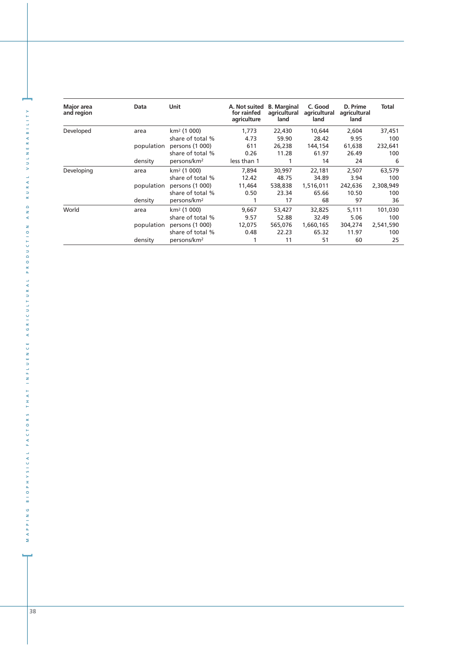| Major area<br>and region | Data       | Unit                    | A. Not suited<br>for rainfed<br>agriculture | <b>B.</b> Marginal<br>agricultural<br>land | C. Good<br>agricultural<br>land | D. Prime<br>agricultural<br>land | Total     |
|--------------------------|------------|-------------------------|---------------------------------------------|--------------------------------------------|---------------------------------|----------------------------------|-----------|
| Developed                | area       | $km^2$ (1 000)          | 1,773                                       | 22,430                                     | 10,644                          | 2,604                            | 37,451    |
|                          |            | share of total %        | 4.73                                        | 59.90                                      | 28.42                           | 9.95                             | 100       |
|                          | population | persons (1 000)         | 611                                         | 26,238                                     | 144,154                         | 61,638                           | 232,641   |
|                          |            | share of total %        | 0.26                                        | 11.28                                      | 61.97                           | 26.49                            | 100       |
|                          | density    | persons/km <sup>2</sup> | less than 1                                 |                                            | 14                              | 24                               | 6         |
| Developing               | area       | $km^2$ (1 000)          | 7.894                                       | 30,997                                     | 22,181                          | 2.507                            | 63,579    |
|                          |            | share of total %        | 12.42                                       | 48.75                                      | 34.89                           | 3.94                             | 100       |
|                          | population | persons (1 000)         | 11,464                                      | 538,838                                    | 1,516,011                       | 242,636                          | 2,308,949 |
|                          |            | share of total %        | 0.50                                        | 23.34                                      | 65.66                           | 10.50                            | 100       |
|                          | density    | persons/km <sup>2</sup> |                                             | 17                                         | 68                              | 97                               | 36        |
| World                    | area       | $km^2$ (1 000)          | 9,667                                       | 53,427                                     | 32,825                          | 5.111                            | 101,030   |
|                          |            | share of total %        | 9.57                                        | 52.88                                      | 32.49                           | 5.06                             | 100       |
|                          | population | persons (1 000)         | 12,075                                      | 565,076                                    | 1,660,165                       | 304,274                          | 2,541,590 |
|                          |            | share of total %        | 0.48                                        | 22.23                                      | 65.32                           | 11.97                            | 100       |
|                          | density    | persons/km <sup>2</sup> |                                             | 11                                         | 51                              | 60                               | 25        |

**]**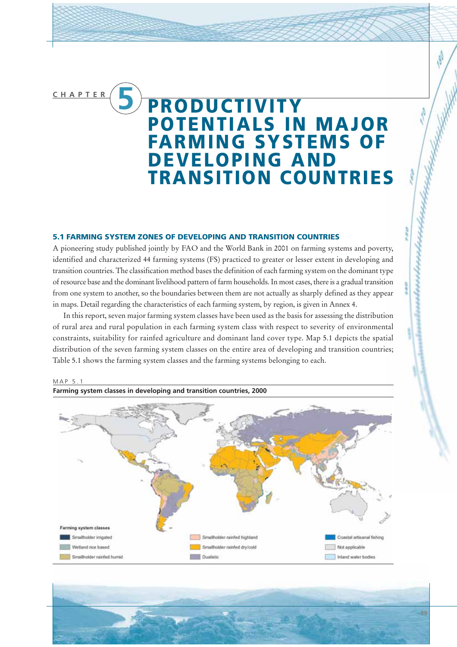# **CHAPTER 5 PRODUCTIVITY POTENTIALS IN MAJOR FARMING SYSTEMS OF DEVELOPING AND TRANSITION COUNTRIES**

#### **5.1 FARMING SYSTEM ZONES OF DEVELOPING AND TRANSITION COUNTRIES**

A pioneering study published jointly by FAO and the World Bank in 2001 on farming systems and poverty, identified and characterized 44 farming systems (FS) practiced to greater or lesser extent in developing and transition countries. The classification method bases the definition of each farming system on the dominant type of resource base and the dominant livelihood pattern of farm households. In most cases, there is a gradual transition from one system to another, so the boundaries between them are not actually as sharply defined as they appear in maps. Detail regarding the characteristics of each farming system, by region, is given in Annex 4.

In this report, seven major farming system classes have been used as the basis for assessing the distribution of rural area and rural population in each farming system class with respect to severity of environmental constraints, suitability for rainfed agriculture and dominant land cover type. Map 5.1 depicts the spatial distribution of the seven farming system classes on the entire area of developing and transition countries; Table 5.1 shows the farming system classes and the farming systems belonging to each.



**39**

wheelersheethersheer



**Farming system classes in developing and transition countries, 2000**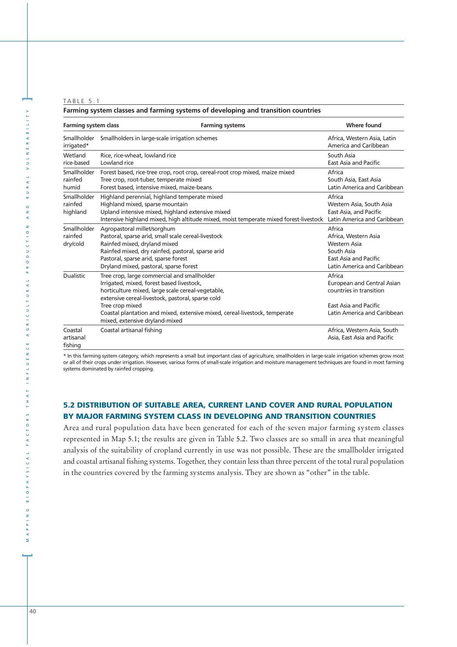#### TABLE 5.1

| Farming system classes and farming systems of developing and transition countries |                                                                                                                                                                                                                                                                                                                                       |                                                                                                                         |  |  |  |  |
|-----------------------------------------------------------------------------------|---------------------------------------------------------------------------------------------------------------------------------------------------------------------------------------------------------------------------------------------------------------------------------------------------------------------------------------|-------------------------------------------------------------------------------------------------------------------------|--|--|--|--|
| <b>Farming system class</b>                                                       | <b>Where found</b>                                                                                                                                                                                                                                                                                                                    |                                                                                                                         |  |  |  |  |
| Smallholder<br>irrigated*                                                         | Smallholders in large-scale irrigation schemes                                                                                                                                                                                                                                                                                        | Africa, Western Asia, Latin<br>America and Caribbean                                                                    |  |  |  |  |
| Wetland<br>rice-based                                                             | Rice, rice-wheat, lowland rice<br>Lowland rice                                                                                                                                                                                                                                                                                        | South Asia<br>East Asia and Pacific                                                                                     |  |  |  |  |
| Smallholder<br>rainfed<br>humid                                                   | Forest based, rice-tree crop, root crop, cereal-root crop mixed, maize mixed<br>Tree crop, root-tuber, temperate mixed<br>Forest based, intensive mixed, maize-beans                                                                                                                                                                  | Africa<br>South Asia, East Asia<br>Latin America and Caribbean                                                          |  |  |  |  |
| Smallholder<br>rainfed<br>highland                                                | Highland perennial, highland temperate mixed<br>Highland mixed, sparse mountain<br>Upland intensive mixed, highland extensive mixed<br>Intensive highland mixed, high altitude mixed, moist temperate mixed forest-livestock Latin America and Caribbean                                                                              | Africa<br>Western Asia, South Asia<br>East Asia, and Pacific                                                            |  |  |  |  |
| Smallholder<br>rainfed<br>dry/cold                                                | Agropastoral millet/sorghum<br>Pastoral, sparse arid, small scale cereal-livestock<br>Rainfed mixed, dryland mixed<br>Rainfed mixed, dry rainfed, pastoral, sparse arid<br>Pastoral, sparse arid, sparse forest<br>Dryland mixed, pastoral, sparse forest                                                                             | Africa<br>Africa, Western Asia<br>Western Asia<br>South Asia<br>East Asia and Pacific<br>Latin America and Caribbean    |  |  |  |  |
| <b>Dualistic</b>                                                                  | Tree crop, large commercial and smallholder<br>Irrigated, mixed, forest based livestock,<br>horticulture mixed, large scale cereal-vegetable,<br>extensive cereal-livestock, pastoral, sparse cold<br>Tree crop mixed<br>Coastal plantation and mixed, extensive mixed, cereal-livestock, temperate<br>mixed, extensive dryland-mixed | Africa<br>European and Central Asian<br>countries in transition<br>East Asia and Pacific<br>Latin America and Caribbean |  |  |  |  |
| Coastal<br>artisanal<br>fishing                                                   | Coastal artisanal fishing                                                                                                                                                                                                                                                                                                             | Africa, Western Asia, South<br>Asia, East Asia and Pacific                                                              |  |  |  |  |

\* In this farming system category, which represents a small but important class of agriculture, smallholders in large-scale irrigation schemes grow most or all of their crops under irrigation. However, various forms of small-scale irrigation and moisture management techniques are found in most farming systems dominated by rainfed cropping.

## **5.2 DISTRIBUTION OF SUITABLE AREA, CURRENT LAND COVER AND RURAL POPULATION BY MAJOR FARMING SYSTEM CLASS IN DEVELOPING AND TRANSITION COUNTRIES**

Area and rural population data have been generated for each of the seven major farming system classes represented in Map 5.1; the results are given in Table 5.2. Two classes are so small in area that meaningful analysis of the suitability of cropland currently in use was not possible. These are the smallholder irrigated and coastal artisanal fishing systems. Together, they contain less than three percent of the total rural population in the countries covered by the farming systems analysis. They are shown as "other" in the table.

**]**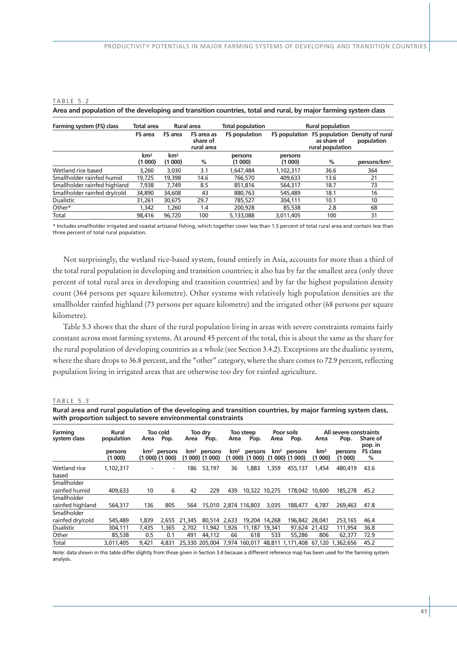#### TABLE 5.2

| Farming system (FS) class    | <b>Total area</b>         | Rural area                                             |      | <b>Total population</b> | <b>Rural population</b> |                                 |                                              |  |
|------------------------------|---------------------------|--------------------------------------------------------|------|-------------------------|-------------------------|---------------------------------|----------------------------------------------|--|
|                              | <b>FS</b> area            | <b>FS</b> area<br>FS area as<br>share of<br>rural area |      | <b>FS population</b>    | <b>FS</b> population    | as share of<br>rural population | FS population Density of rural<br>population |  |
|                              | km <sup>2</sup><br>(1000) | km <sup>2</sup><br>(1000)                              | %    | persons<br>(1000)       | persons<br>(1000)       | %                               | persons/km <sup>2</sup>                      |  |
| Wetland rice based           | 3,260                     | 3,030                                                  | 3.1  | 1,647,484               | 1,102,317               | 36.6                            | 364                                          |  |
| Smallholder rainfed humid    | 19,725                    | 19,398                                                 | 14.6 | 766,570                 | 409,633                 | 13.6                            | 21                                           |  |
| Smallholder rainfed highland | 7,938                     | 7,749                                                  | 8.5  | 851.816                 | 564,317                 | 18.7                            | 73                                           |  |
| Smallholder rainfed dry/cold | 34,890                    | 34,608                                                 | 43   | 880.763                 | 545.489                 | 18.1                            | 16                                           |  |
| <b>Dualistic</b>             | 31,261                    | 30,675                                                 | 29.7 | 785,527                 | 304,111                 | 10.1                            | 10                                           |  |
| Other*                       | 1.342                     | 1,260                                                  | 1.4  | 200,928                 | 85,538                  | 2.8                             | 68                                           |  |
| Total                        | 98.416                    | 96.720                                                 | 100  | 5,133,088               | 3,011,405               | 100                             | 31                                           |  |

**Area and population of the developing and transition countries, total and rural, by major farming system class**

\* Includes smallholder irrigated and coastal artisanal fishing, which together cover less than 1.5 percent of total rural area and contain less than three percent of total rural population.

Not surprisingly, the wetland rice-based system, found entirely in Asia, accounts for more than a third of the total rural population in developing and transition countries; it also has by far the smallest area (only three percent of total rural area in developing and transition countries) and by far the highest population density count (364 persons per square kilometre). Other systems with relatively high population densities are the smallholder rainfed highland (73 persons per square kilometre) and the irrigated other (68 persons per square kilometre).

Table 5.3 shows that the share of the rural population living in areas with severe constraints remains fairly constant across most farming systems. At around 45 percent of the total, this is about the same as the share for the rural population of developing countries as a whole (see Section 3.4.2). Exceptions are the dualistic system, where the share drops to 36.8 percent, and the "other" category, where the share comes to 72.9 percent, reflecting population living in irrigated areas that are otherwise too dry for rainfed agriculture.

#### TABLE 5.3

| Rural area and rural population of the developing and transition countries, by major farming system class, |  |
|------------------------------------------------------------------------------------------------------------|--|
| with proportion subject to severe environmental constraints                                                |  |

| Farming               | Rural             | Too cold |                                              | Too drv |                                              | Too steep       |                              | Poor soils      |                              | All severe constraints    |                   |                      |
|-----------------------|-------------------|----------|----------------------------------------------|---------|----------------------------------------------|-----------------|------------------------------|-----------------|------------------------------|---------------------------|-------------------|----------------------|
| system class          | population        | Area     | Pop.                                         | Area    | Pop.                                         | Area            | Pop.                         | Area            | Pop.                         | Area                      | Pop.              | Share of<br>pop. in  |
|                       | persons<br>(1000) |          | km <sup>2</sup> persons<br>$(1000)$ $(1000)$ |         | km <sup>2</sup> persons<br>$(1000)$ $(1000)$ | km <sup>2</sup> | persons<br>$(1000)$ $(1000)$ | km <sup>2</sup> | persons<br>$(1000)$ $(1000)$ | km <sup>2</sup><br>(1000) | persons<br>(1000) | <b>FS class</b><br>% |
| Wetland rice<br>based | 1,102,317         |          | $\overline{\phantom{a}}$                     | 186     | 53,197                                       | 36              | 1,883                        | 1,359           | 455,137                      | 1,454                     | 480.419           | 43.6                 |
| Smallholder           |                   |          |                                              |         |                                              |                 |                              |                 |                              |                           |                   |                      |
| rainfed humid         | 409,633           | 10       | 6                                            | 42      | 229                                          | 439             | 10.322 10.275                |                 | 178,042                      | 10,600                    | 185,278           | 45.2                 |
| Smallholder           |                   |          |                                              |         |                                              |                 |                              |                 |                              |                           |                   |                      |
| rainfed highland      | 564,317           | 136      | 805                                          | 564     | 15,010 2,874 116,803                         |                 |                              | 3,035           | 188,477                      | 4.787                     | 269.463           | 47.8                 |
| Smallholder           |                   |          |                                              |         |                                              |                 |                              |                 |                              |                           |                   |                      |
| rainfed dry/cold      | 545,489           | 1,839    | 2.655                                        | 21,345  | 80.514 2.633                                 |                 | 19,204                       | 14,268          | 196.842                      | 28,041                    | 253,165           | 46.4                 |
| <b>Dualistic</b>      | 304,111           | 7.435    | 1,365                                        | 2.702   | 11,942                                       | 1,926           | 11.187                       | 19,341          | 97,624                       | 21,432                    | 111,954           | 36.8                 |
| Other                 | 85,538            | 0.5      | 0.1                                          | 491     | 44.112                                       | 66              | 618                          | 533             | 55.286                       | 806                       | 62.377            | 72.9                 |
| <b>Total</b>          | 3.011.405         | 9.421    | 4,831                                        |         | 25.330 205.004 7.974 160.017                 |                 |                              |                 | 48.811 1.171.408             | 67.120                    | 1.362.656         | 45.2                 |

Note: data shown in this table differ slightly from those given in Section 3.4 because a different reference map has been used for the farming system analysis.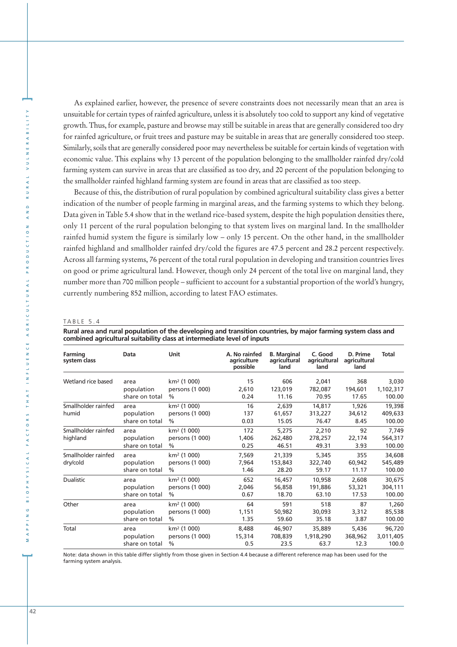As explained earlier, however, the presence of severe constraints does not necessarily mean that an area is unsuitable for certain types of rainfed agriculture, unless it is absolutely too cold to support any kind of vegetative growth. Thus, for example, pasture and browse may still be suitable in areas that are generally considered too dry for rainfed agriculture, or fruit trees and pasture may be suitable in areas that are generally considered too steep. Similarly, soils that are generally considered poor may nevertheless be suitable for certain kinds of vegetation with economic value. This explains why 13 percent of the population belonging to the smallholder rainfed dry/cold farming system can survive in areas that are classified as too dry, and 20 percent of the population belonging to the smallholder rainfed highland farming system are found in areas that are classified as too steep.

Because of this, the distribution of rural population by combined agricultural suitability class gives a better indication of the number of people farming in marginal areas, and the farming systems to which they belong. Data given in Table 5.4 show that in the wetland rice-based system, despite the high population densities there, only 11 percent of the rural population belonging to that system lives on marginal land. In the smallholder rainfed humid system the figure is similarly low – only 15 percent. On the other hand, in the smallholder rainfed highland and smallholder rainfed dry/cold the figures are 47.5 percent and 28.2 percent respectively. Across all farming systems, 76 percent of the total rural population in developing and transition countries lives on good or prime agricultural land. However, though only 24 percent of the total live on marginal land, they number more than 700 million people – sufficient to account for a substantial proportion of the world's hungry, currently numbering 852 million, according to latest FAO estimates.

#### TABLE 5.4

**Rural area and rural population of the developing and transition countries, by major farming system class and combined agricultural suitability class at intermediate level of inputs**

| Farming<br>system class | Data           | Unit                    | A. No rainfed<br>agriculture<br>possible | <b>B.</b> Marginal<br>agricultural<br>land | C. Good<br>agricultural<br>land | D. Prime<br>agricultural<br>land | <b>Total</b> |
|-------------------------|----------------|-------------------------|------------------------------------------|--------------------------------------------|---------------------------------|----------------------------------|--------------|
| Wetland rice based      | area           | km <sup>2</sup> (1 000) | 15                                       | 606                                        | 2,041                           | 368                              | 3,030        |
|                         | population     | persons (1 000)         | 2,610                                    | 123,019                                    | 782,087                         | 194,601                          | 1,102,317    |
|                         | share on total | $\frac{0}{0}$           | 0.24                                     | 11.16                                      | 70.95                           | 17.65                            | 100.00       |
| Smallholder rainfed     | area           | km <sup>2</sup> (1 000) | 16                                       | 2,639                                      | 14,817                          | 1,926                            | 19,398       |
| humid                   | population     | persons (1 000)         | 137                                      | 61,657                                     | 313,227                         | 34,612                           | 409,633      |
|                         | share on total | $\frac{0}{0}$           | 0.03                                     | 15.05                                      | 76.47                           | 8.45                             | 100.00       |
| Smallholder rainfed     | area           | km <sup>2</sup> (1 000) | 172                                      | 5,275                                      | 2,210                           | 92                               | 7,749        |
| highland                | population     | persons (1 000)         | 1,406                                    | 262,480                                    | 278,257                         | 22,174                           | 564,317      |
|                         | share on total | $\%$                    | 0.25                                     | 46.51                                      | 49.31                           | 3.93                             | 100.00       |
| Smallholder rainfed     | area           | km <sup>2</sup> (1 000) | 7,569                                    | 21,339                                     | 5,345                           | 355                              | 34,608       |
| dry/cold                | population     | persons (1 000)         | 7,964                                    | 153,843                                    | 322,740                         | 60,942                           | 545,489      |
|                         | share on total | $\frac{0}{0}$           | 1.46                                     | 28.20                                      | 59.17                           | 11.17                            | 100.00       |
| <b>Dualistic</b>        | area           | km <sup>2</sup> (1 000) | 652                                      | 16,457                                     | 10,958                          | 2,608                            | 30,675       |
|                         | population     | persons (1 000)         | 2,046                                    | 56,858                                     | 191,886                         | 53,321                           | 304,111      |
|                         | share on total | $\frac{0}{0}$           | 0.67                                     | 18.70                                      | 63.10                           | 17.53                            | 100.00       |
| Other                   | area           | km <sup>2</sup> (1 000) | 64                                       | 591                                        | 518                             | 87                               | 1,260        |
|                         | population     | persons (1 000)         | 1,151                                    | 50,982                                     | 30,093                          | 3,312                            | 85,538       |
|                         | share on total | $\frac{0}{0}$           | 1.35                                     | 59.60                                      | 35.18                           | 3.87                             | 100.00       |
| Total                   | area           | km <sup>2</sup> (1 000) | 8,488                                    | 46,907                                     | 35,889                          | 5,436                            | 96,720       |
|                         | population     | persons (1 000)         | 15,314                                   | 708,839                                    | 1,918,290                       | 368,962                          | 3,011,405    |
|                         | share on total | $\frac{0}{0}$           | 0.5                                      | 23.5                                       | 63.7                            | 12.3                             | 100.0        |

Note: data shown in this table differ slightly from those given in Section 4.4 because a different reference map has been used for the farming system analysis.

**]**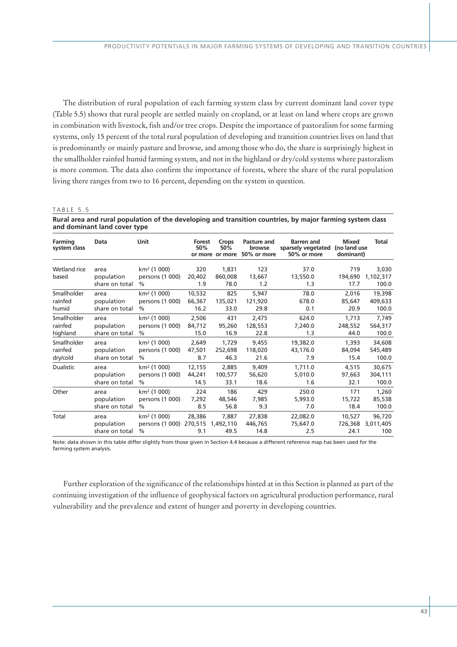The distribution of rural population of each farming system class by current dominant land cover type (Table 5.5) shows that rural people are settled mainly on cropland, or at least on land where crops are grown in combination with livestock, fish and/or tree crops. Despite the importance of pastoralism for some farming systems, only 15 percent of the total rural population of developing and transition countries lives on land that is predominantly or mainly pasture and browse, and among those who do, the share is surprisingly highest in the smallholder rainfed humid farming system, and not in the highland or dry/cold systems where pastoralism is more common. The data also confirm the importance of forests, where the share of the rural population living there ranges from two to 16 percent, depending on the system in question.

#### TABLE 5.5

**Rural area and rural population of the developing and transition countries, by major farming system class and dominant land cover type** 

| Farming<br>system class | Data                                 | Unit                                                        | Forest<br>50%        | Crops<br>50%<br>or more or more | Pasture and<br>browse<br>50% or more | <b>Barren</b> and<br>sparsely vegetated<br>50% or more | <b>Mixed</b><br>(no land use<br>dominant) | Total                       |
|-------------------------|--------------------------------------|-------------------------------------------------------------|----------------------|---------------------------------|--------------------------------------|--------------------------------------------------------|-------------------------------------------|-----------------------------|
| Wetland rice<br>based   | area<br>population<br>share on total | km <sup>2</sup> (1 000)<br>persons (1 000)<br>$\frac{0}{0}$ | 320<br>20,402<br>1.9 | 1,831<br>860,008<br>78.0        | 123<br>13,667<br>1.2                 | 37.0<br>13,550.0<br>1.3                                | 719<br>194,690<br>17.7                    | 3,030<br>1,102,317<br>100.0 |
| Smallholder             | area                                 | km <sup>2</sup> (1 000)                                     | 10,532               | 825                             | 5,947                                | 78.0                                                   | 2,016                                     | 19,398                      |
| rainfed                 | population                           | persons (1 000)                                             | 66,367               | 135,021                         | 121,920                              | 678.0                                                  | 85,647                                    | 409,633                     |
| humid                   | share on total                       | $\frac{0}{0}$                                               | 16.2                 | 33.0                            | 29.8                                 | 0.1                                                    | 20.9                                      | 100.0                       |
| Smallholder             | area                                 | km <sup>2</sup> (1 000)                                     | 2,506                | 431                             | 2,475                                | 624.0                                                  | 1.713                                     | 7,749                       |
| rainfed                 | population                           | persons (1 000)                                             | 84,712               | 95,260                          | 128,553                              | 7,240.0                                                | 248,552                                   | 564,317                     |
| highland                | share on total                       | $\frac{0}{0}$                                               | 15.0                 | 16.9                            | 22.8                                 | 1.3                                                    | 44.0                                      | 100.0                       |
| Smallholder             | area                                 | km <sup>2</sup> (1 000)                                     | 2,649                | 1,729                           | 9,455                                | 19,382.0                                               | 1.393                                     | 34,608                      |
| rainfed                 | population                           | persons (1 000)                                             | 47,501               | 252,698                         | 118,020                              | 43,176.0                                               | 84,094                                    | 545,489                     |
| dry/cold                | share on total                       | $\frac{0}{0}$                                               | 8.7                  | 46.3                            | 21.6                                 | 7.9                                                    | 15.4                                      | 100.0                       |
| Dualistic               | area                                 | km <sup>2</sup> (1 000)                                     | 12,155               | 2,885                           | 9,409                                | 1,711.0                                                | 4,515                                     | 30,675                      |
|                         | population                           | persons (1 000)                                             | 44,241               | 100,577                         | 56,620                               | 5,010.0                                                | 97,663                                    | 304,111                     |
|                         | share on total                       | $\frac{0}{0}$                                               | 14.5                 | 33.1                            | 18.6                                 | 1.6                                                    | 32.1                                      | 100.0                       |
| Other                   | area                                 | $km^2$ (1 000)                                              | 224                  | 186                             | 429                                  | 250.0                                                  | 171                                       | 1,260                       |
|                         | population                           | persons (1 000)                                             | 7,292                | 48,546                          | 7.985                                | 5,993.0                                                | 15,722                                    | 85,538                      |
|                         | share on total                       | $\frac{0}{0}$                                               | 8.5                  | 56.8                            | 9.3                                  | 7.0                                                    | 18.4                                      | 100.0                       |
| Total                   | area<br>population<br>share on total | $km^2$ (1 000)<br>persons (1 000) 270,515<br>$\frac{0}{0}$  | 28,386<br>9.1        | 7.887<br>1,492,110<br>49.5      | 27,838<br>446,765<br>14.8            | 22,082.0<br>75,647.0<br>2.5                            | 10,527<br>726,368<br>24.1                 | 96,720<br>3,011,405<br>100  |

Note: data shown in this table differ slightly from those given in Section 4.4 because a different reference map has been used for the farming system analysis.

Further exploration of the significance of the relationships hinted at in this Section is planned as part of the continuing investigation of the influence of geophysical factors on agricultural production performance, rural vulnerability and the prevalence and extent of hunger and poverty in developing countries.